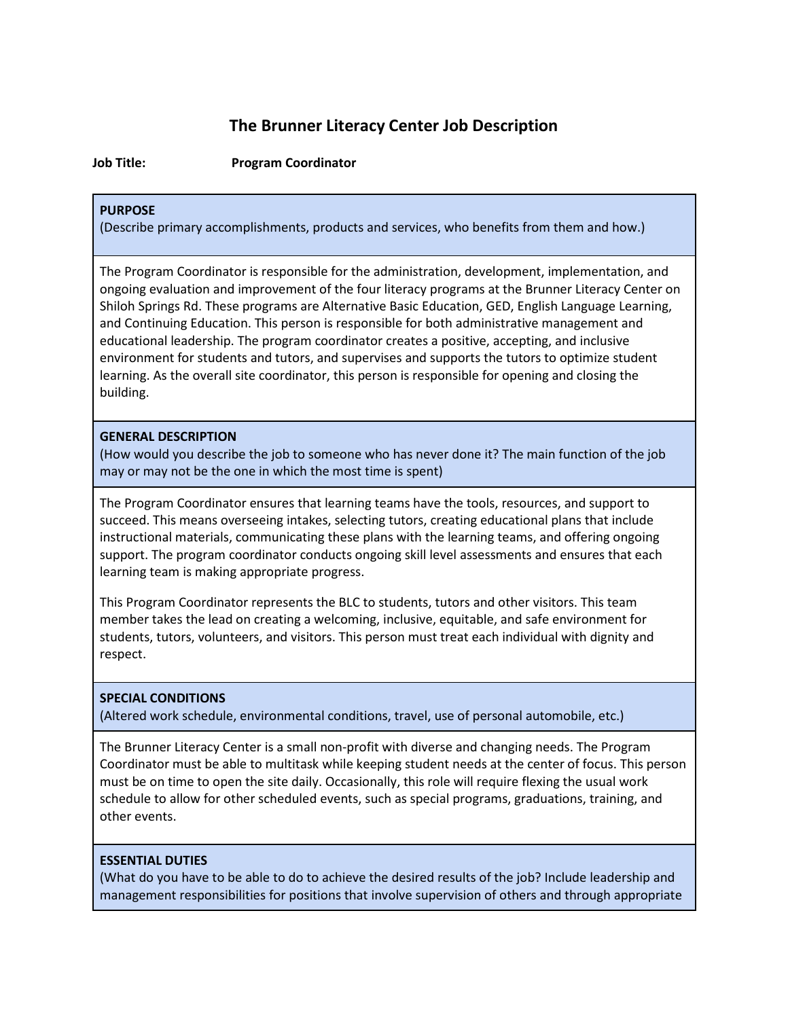# **The Brunner Literacy Center Job Description**

**Job Title: Program Coordinator** 

## **PURPOSE**

(Describe primary accomplishments, products and services, who benefits from them and how.)

The Program Coordinator is responsible for the administration, development, implementation, and ongoing evaluation and improvement of the four literacy programs at the Brunner Literacy Center on Shiloh Springs Rd. These programs are Alternative Basic Education, GED, English Language Learning, and Continuing Education. This person is responsible for both administrative management and educational leadership. The program coordinator creates a positive, accepting, and inclusive environment for students and tutors, and supervises and supports the tutors to optimize student learning. As the overall site coordinator, this person is responsible for opening and closing the building.

#### **GENERAL DESCRIPTION**

(How would you describe the job to someone who has never done it? The main function of the job may or may not be the one in which the most time is spent)

The Program Coordinator ensures that learning teams have the tools, resources, and support to succeed. This means overseeing intakes, selecting tutors, creating educational plans that include instructional materials, communicating these plans with the learning teams, and offering ongoing support. The program coordinator conducts ongoing skill level assessments and ensures that each learning team is making appropriate progress.

This Program Coordinator represents the BLC to students, tutors and other visitors. This team member takes the lead on creating a welcoming, inclusive, equitable, and safe environment for students, tutors, volunteers, and visitors. This person must treat each individual with dignity and respect.

# **SPECIAL CONDITIONS**

(Altered work schedule, environmental conditions, travel, use of personal automobile, etc.)

The Brunner Literacy Center is a small non-profit with diverse and changing needs. The Program Coordinator must be able to multitask while keeping student needs at the center of focus. This person must be on time to open the site daily. Occasionally, this role will require flexing the usual work schedule to allow for other scheduled events, such as special programs, graduations, training, and other events.

# **ESSENTIAL DUTIES**

(What do you have to be able to do to achieve the desired results of the job? Include leadership and management responsibilities for positions that involve supervision of others and through appropriate